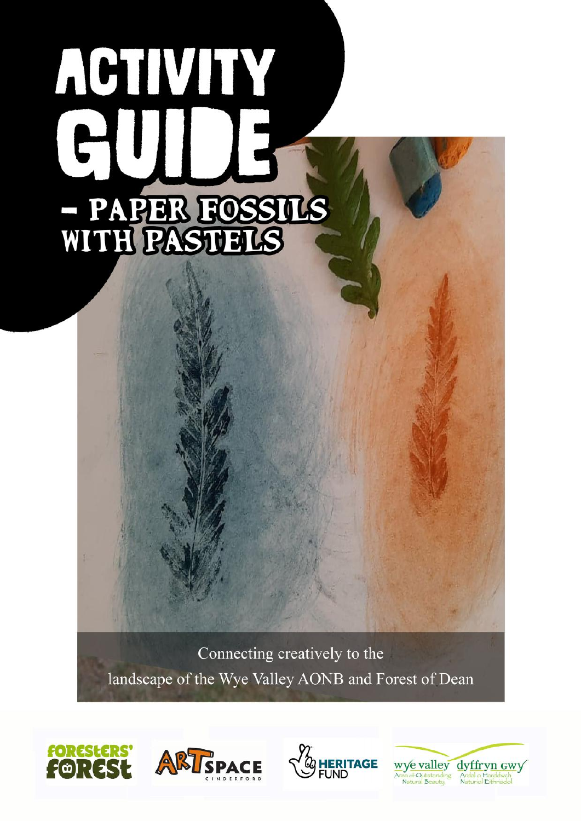# ACTIVITY - PAPER FOSSILS<br>WITH PASTELS

Connecting creatively to the landscape of the Wye Valley AONB and Forest of Dean







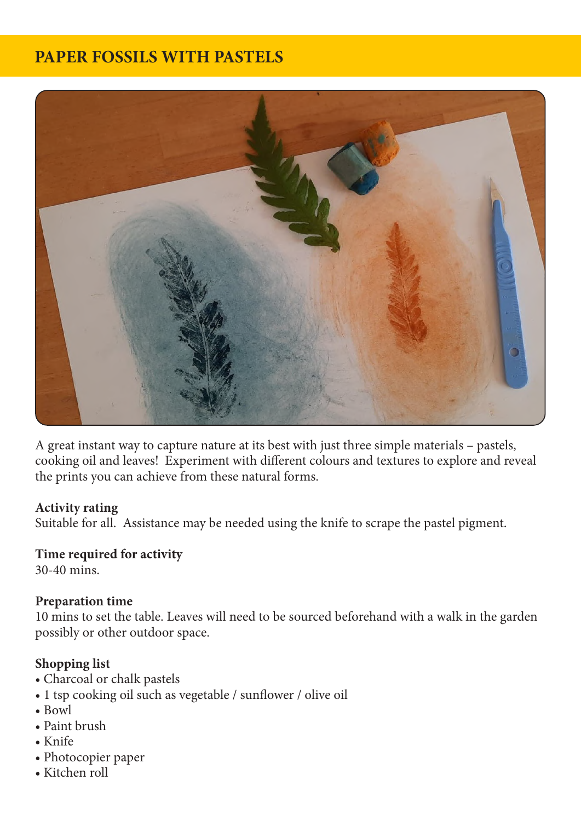# **PAPER FOSSILS WITH PASTELS**



A great instant way to capture nature at its best with just three simple materials – pastels, cooking oil and leaves! Experiment with different colours and textures to explore and reveal the prints you can achieve from these natural forms.

### **Activity rating**

Suitable for all. Assistance may be needed using the knife to scrape the pastel pigment.

### **Time required for activity**

30-40 mins.

### **Preparation time**

10 mins to set the table. Leaves will need to be sourced beforehand with a walk in the garden possibly or other outdoor space.

### **Shopping list**

- Charcoal or chalk pastels
- 1 tsp cooking oil such as vegetable / sunflower / olive oil
- Bowl
- Paint brush
- Knife
- Photocopier paper
- Kitchen roll